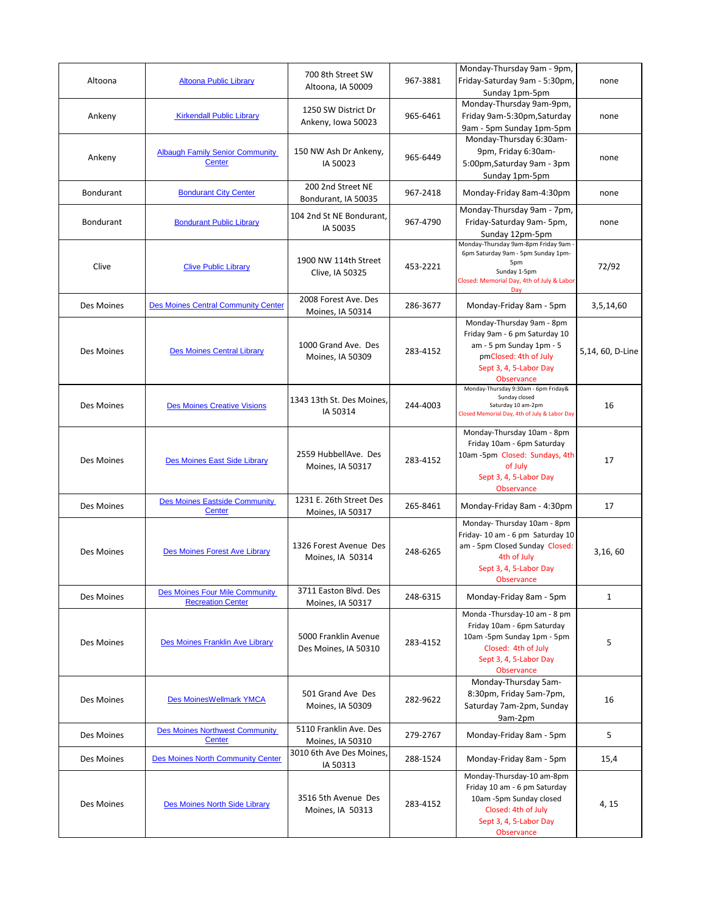| Altoona          | <b>Altoona Public Library</b>                                     | 700 8th Street SW<br>Altoona, IA 50009         | 967-3881 | Monday-Thursday 9am - 9pm,<br>Friday-Saturday 9am - 5:30pm,<br>Sunday 1pm-5pm                                                                                  | none             |
|------------------|-------------------------------------------------------------------|------------------------------------------------|----------|----------------------------------------------------------------------------------------------------------------------------------------------------------------|------------------|
| Ankeny           | <b>Kirkendall Public Library</b>                                  | 1250 SW District Dr<br>Ankeny, Iowa 50023      | 965-6461 | Monday-Thursday 9am-9pm,<br>Friday 9am-5:30pm, Saturday<br>9am - 5pm Sunday 1pm-5pm                                                                            | none             |
| Ankeny           | <b>Albaugh Family Senior Community</b><br><b>Center</b>           | 150 NW Ash Dr Ankeny,<br>IA 50023              | 965-6449 | Monday-Thursday 6:30am-<br>9pm, Friday 6:30am-<br>5:00pm, Saturday 9am - 3pm<br>Sunday 1pm-5pm                                                                 | none             |
| <b>Bondurant</b> | <b>Bondurant City Center</b>                                      | 200 2nd Street NE<br>Bondurant, IA 50035       | 967-2418 | Monday-Friday 8am-4:30pm                                                                                                                                       | none             |
| <b>Bondurant</b> | <b>Bondurant Public Library</b>                                   | 104 2nd St NE Bondurant,<br>IA 50035           | 967-4790 | Monday-Thursday 9am - 7pm,<br>Friday-Saturday 9am- 5pm,<br>Sunday 12pm-5pm                                                                                     | none             |
| Clive            | <b>Clive Public Library</b>                                       | 1900 NW 114th Street<br>Clive, IA 50325        | 453-2221 | Monday-Thursday 9am-8pm Friday 9am<br>6pm Saturday 9am - 5pm Sunday 1pm-<br>5pm<br>Sunday 1-5pm<br>Closed: Memorial Day, 4th of July & Labor<br>Dav            | 72/92            |
| Des Moines       | <b>Des Moines Central Community Center</b>                        | 2008 Forest Ave. Des<br>Moines, IA 50314       | 286-3677 | Monday-Friday 8am - 5pm                                                                                                                                        | 3,5,14,60        |
| Des Moines       | <b>Des Moines Central Library</b>                                 | 1000 Grand Ave. Des<br><b>Moines, IA 50309</b> | 283-4152 | Monday-Thursday 9am - 8pm<br>Friday 9am - 6 pm Saturday 10<br>am - 5 pm Sunday 1pm - 5<br>pmClosed: 4th of July<br>Sept 3, 4, 5-Labor Day<br><b>Observance</b> | 5,14, 60, D-Line |
| Des Moines       | <b>Des Moines Creative Visions</b>                                | 1343 13th St. Des Moines,<br>IA 50314          | 244-4003 | Monday-Thursday 9:30am - 6pm Friday&<br>Sunday closed<br>Saturday 10 am-2pm<br>Closed Memorial Day, 4th of July & Labor Day                                    | 16               |
| Des Moines       | Des Moines East Side Library                                      | 2559 HubbellAve. Des<br>Moines, IA 50317       | 283-4152 | Monday-Thursday 10am - 8pm<br>Friday 10am - 6pm Saturday<br>10am -5pm Closed: Sundays, 4th<br>of July<br>Sept 3, 4, 5-Labor Day<br><b>Observance</b>           | 17               |
| Des Moines       | <b>Des Moines Eastside Community</b><br>Center                    | 1231 E. 26th Street Des<br>Moines, IA 50317    | 265-8461 | Monday-Friday 8am - 4:30pm                                                                                                                                     | 17               |
| Des Moines       | Des Moines Forest Ave Library                                     | 1326 Forest Avenue Des<br>Moines, IA 50314     | 248-6265 | Monday-Thursday 10am - 8pm<br>Friday- 10 am - 6 pm Saturday 10<br>am - 5pm Closed Sunday Closed:<br>4th of July<br>Sept 3, 4, 5-Labor Day<br><b>Observance</b> | 3,16,60          |
| Des Moines       | <b>Des Moines Four Mile Community</b><br><b>Recreation Center</b> | 3711 Easton Blvd. Des<br>Moines, IA 50317      | 248-6315 | Monday-Friday 8am - 5pm                                                                                                                                        | $\mathbf{1}$     |
| Des Moines       | Des Moines Franklin Ave Library                                   | 5000 Franklin Avenue<br>Des Moines, IA 50310   | 283-4152 | Monda - Thursday-10 am - 8 pm<br>Friday 10am - 6pm Saturday<br>10am -5pm Sunday 1pm - 5pm<br>Closed: 4th of July<br>Sept 3, 4, 5-Labor Day<br>Observance       | 5                |
| Des Moines       | Des MoinesWellmark YMCA                                           | 501 Grand Ave Des<br>Moines, IA 50309          | 282-9622 | Monday-Thursday 5am-<br>8:30pm, Friday 5am-7pm,<br>Saturday 7am-2pm, Sunday<br>9am-2pm                                                                         | 16               |
| Des Moines       | <b>Des Moines Northwest Community</b><br><b>Center</b>            | 5110 Franklin Ave. Des<br>Moines, IA 50310     | 279-2767 | Monday-Friday 8am - 5pm                                                                                                                                        | 5                |
| Des Moines       | <b>Des Moines North Community Center</b>                          | 3010 6th Ave Des Moines,<br>IA 50313           | 288-1524 | Monday-Friday 8am - 5pm                                                                                                                                        | 15,4             |
| Des Moines       | Des Moines North Side Library                                     | 3516 5th Avenue Des<br>Moines, IA 50313        | 283-4152 | Monday-Thursday-10 am-8pm<br>Friday 10 am - 6 pm Saturday<br>10am -5pm Sunday closed<br>Closed: 4th of July<br>Sept 3, 4, 5-Labor Day<br>Observance            | 4, 15            |